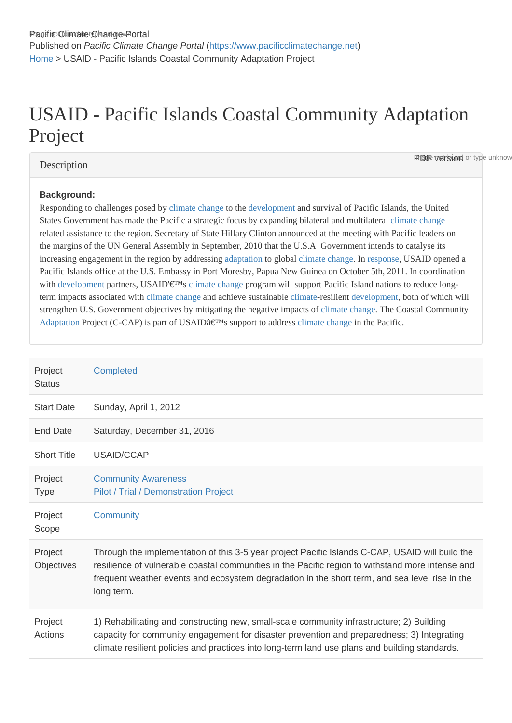# USAID - Pacific Islands Coastal Community Adaptation Project

## **Description**

**PDF version** or type unknow

#### Background:

Responding to challenges posed by pate change th[e developmen](https://www.pacificclimatechange.net/glossary/letter_d#Development)t and survival of Pacific Islands, the United States Government has made the Pacific a strategic focus by expanding bilateral and multilate at hange related assistance to the region. Secretary of State Hillary Clinton announced at the meeting with Pacific leaders on the margins of the UN General Assembly in September, 2010 that the U.S.A Government intends to catalyse its increasing engagement in the region by addressing tation to global [climate chang](https://www.pacificclimatechange.net/glossary/letter_c#Climate_Change)e in [respons](https://www.pacificclimatechange.net/glossary/letter_r#Response)e USAID opened a Pacific Islands office at the U.S. Embassy in Port Moresby, Papua New Guinea on October 5th, 2011. In coordination with [developmen](https://www.pacificclimatechange.net/glossary/letter_d#Development)tpartners, USAID'€™s limate change program will support Pacific Island nations to reduce long-termimpacts associated with mate change and achieve sustainable mate resilient [developmen](https://www.pacificclimatechange.net/glossary/letter_d#Development)t both of which will strengthen U[.](https://www.pacificclimatechange.net/glossary/letter_c#Climate_Change)S. Government objectives by mitigating the negative impacts of changeThe Coastal Community [Adaptation](https://www.pacificclimatechange.net/glossary/letter_a#Adaptation) Project (C-CAP) is part of USAID's support to addressate changen the Pacific.

| Project<br><b>Status</b>     | Completed                                                                                                                                                                                                                                                                                                           |
|------------------------------|---------------------------------------------------------------------------------------------------------------------------------------------------------------------------------------------------------------------------------------------------------------------------------------------------------------------|
| <b>Start Date</b>            | Sunday, April 1, 2012                                                                                                                                                                                                                                                                                               |
| <b>End Date</b>              | Saturday, December 31, 2016                                                                                                                                                                                                                                                                                         |
| <b>Short Title</b>           | USAID/CCAP                                                                                                                                                                                                                                                                                                          |
| Project<br><b>Type</b>       | <b>Community Awareness</b><br>Pilot / Trial / Demonstration Project                                                                                                                                                                                                                                                 |
| Project<br>Scope             | Community                                                                                                                                                                                                                                                                                                           |
| Project<br><b>Objectives</b> | Through the implementation of this 3-5 year project Pacific Islands C-CAP, USAID will build the<br>resilience of vulnerable coastal communities in the Pacific region to withstand more intense and<br>frequent weather events and ecosystem degradation in the short term, and sea level rise in the<br>long term. |
| Project<br>Actions           | 1) Rehabilitating and constructing new, small-scale community infrastructure; 2) Building<br>capacity for community engagement for disaster prevention and preparedness; 3) Integrating<br>climate resilient policies and practices into long-term land use plans and building standards.                           |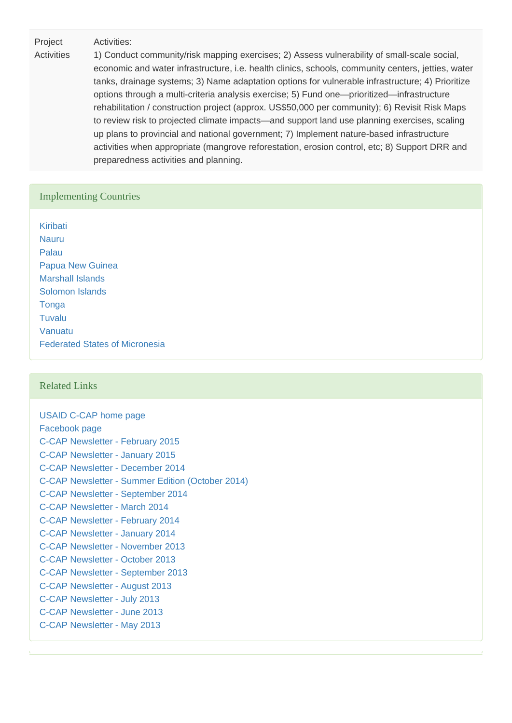Project Activities:

**Activities** 1) Conduct community/risk mapping exercises; 2) Assess vulnerability of small-scale social, economic and water infrastructure, i.e. health clinics, schools, community centers, jetties, water tanks, drainage systems; 3) Name adaptation options for vulnerable infrastructure; 4) Prioritize options through a multi-criteria analysis exercise; 5) Fund one—prioritized—infrastructure rehabilitation / construction project (approx. US\$50,000 per community); 6) Revisit Risk Maps to review risk to projected climate impacts—and support land use planning exercises, scaling up plans to provincial and national government; 7) Implement nature-based infrastructure activities when appropriate (mangrove reforestation, erosion control, etc; 8) Support DRR and preparedness activities and planning.

#### Implementing Countries

[Kiribati](https://www.pacificclimatechange.net/node/52) [Nauru](https://www.pacificclimatechange.net/node/54) [Palau](https://www.pacificclimatechange.net/node/57) [Papua New Guinea](https://www.pacificclimatechange.net/node/58) [Marshall Islands](https://www.pacificclimatechange.net/node/53) [Solomon Islands](https://www.pacificclimatechange.net/node/59) **[Tonga](https://www.pacificclimatechange.net/node/61) [Tuvalu](https://www.pacificclimatechange.net/node/62)** [Vanuatu](https://www.pacificclimatechange.net/node/63) [Federated States of Micronesia](https://www.pacificclimatechange.net/node/9482)

#### Related Links

[USAID C-CAP home page](http://dai.com/our-work/projects/south-pacific-islands—coastal-community-adaptation-project-c-cap) [Facebook page](https://www.facebook.com/coastalcommunityadaptationproject/info?tab=page_info) [C-CAP Newsletter - February 2015](http://www.pacificclimatechange.net/index.php/eresources/documents?task=view&id=1497&catid=245) [C-CAP Newsletter - January 2015](http://www.pacificclimatechange.net/index.php/eresources/documents?task=view&id=1427&catid=245) [C-CAP Newsletter - December 2014](http://www.pacificclimatechange.net/index.php/eresources/documents?task=view&id=1423&catid=245) [C-CAP Newsletter - Summer Edition \(October 2014\)](http://www.pacificclimatechange.net/index.php/eresources/documents?task=view&id=1249&catid=245) [C-CAP Newsletter - September 2014](http://www.pacificclimatechange.net/index.php/eresources/documents?task=view&id=1277&catid=245) [C-CAP Newsletter - March 2014](http://www.pacificclimatechange.net/index.php/eresources/documents?task=view&id=1040&catid=245) [C-CAP Newsletter - February 2014](http://www.pacificclimatechange.net/index.php/eresources/documents?task=view&id=1023&catid=245) [C-CAP Newsletter - January 2014](http://www.pacificclimatechange.net/index.php/eresources/documents?task=view&id=1015&catid=245) [C-CAP Newsletter - November 2013](http://www.pacificclimatechange.net/index.php/eresources/documents?task=view&id=981&catid=245) [C-CAP Newsletter - October 2013](http://www.pacificclimatechange.net/index.php/eresources/documents?task=view&id=974&catid=245) [C-CAP Newsletter - September 2013](http://www.pacificclimatechange.net/index.php/eresources/documents?task=view&id=973&catid=245) [C-CAP Newsletter - August 2013](http://www.pacificclimatechange.net/index.php/eresources/documents?task=view&id=986&catid=245) [C-CAP Newsletter - July 2013](http://www.pacificclimatechange.net/index.php/eresources/documents?task=view&id=985&catid=245) [C-CAP Newsletter - June 2013](http://www.pacificclimatechange.net/index.php/eresources/documents?task=view&id=984&catid=245) [C-CAP Newsletter - May 2013](http://www.pacificclimatechange.net/index.php/eresources/documents?task=view&id=983&catid=245)